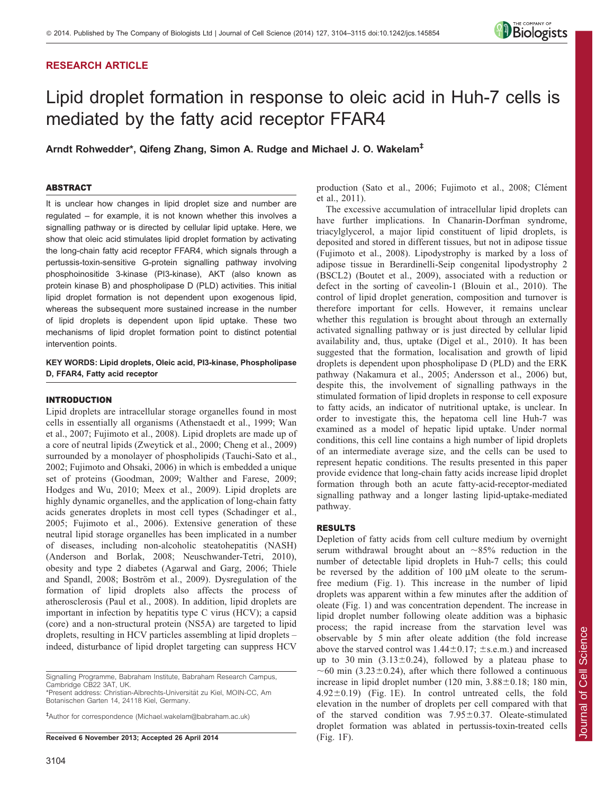# RESEARCH ARTICLE



# Lipid droplet formation in response to oleic acid in Huh-7 cells is mediated by the fatty acid receptor FFAR4

Arndt Rohwedder\*, Qifeng Zhang, Simon A. Rudge and Michael J. O. Wakelam<sup>‡</sup>

# ABSTRACT

It is unclear how changes in lipid droplet size and number are regulated – for example, it is not known whether this involves a signalling pathway or is directed by cellular lipid uptake. Here, we show that oleic acid stimulates lipid droplet formation by activating the long-chain fatty acid receptor FFAR4, which signals through a pertussis-toxin-sensitive G-protein signalling pathway involving phosphoinositide 3-kinase (PI3-kinase), AKT (also known as protein kinase B) and phospholipase D (PLD) activities. This initial lipid droplet formation is not dependent upon exogenous lipid, whereas the subsequent more sustained increase in the number of lipid droplets is dependent upon lipid uptake. These two mechanisms of lipid droplet formation point to distinct potential intervention points.

# KEY WORDS: Lipid droplets, Oleic acid, PI3-kinase, Phospholipase D, FFAR4, Fatty acid receptor

## INTRODUCTION

Lipid droplets are intracellular storage organelles found in most cells in essentially all organisms [\(Athenstaedt et al., 1999; Wan](#page-11-0) [et al., 2007](#page-11-0); [Fujimoto et al., 2008\)](#page-11-0). Lipid droplets are made up of a core of neutral lipids [\(Zweytick et al., 2000](#page-11-0); [Cheng et al., 2009\)](#page-11-0) surrounded by a monolayer of phospholipids ([Tauchi-Sato et al.,](#page-11-0) [2002; Fujimoto and Ohsaki, 2006](#page-11-0)) in which is embedded a unique set of proteins [\(Goodman, 2009](#page-11-0); [Walther and Farese, 2009](#page-11-0); [Hodges and Wu, 2010](#page-11-0); [Meex et al., 2009\)](#page-11-0). Lipid droplets are highly dynamic organelles, and the application of long-chain fatty acids generates droplets in most cell types ([Schadinger et al.,](#page-11-0) [2005; Fujimoto et al., 2006\)](#page-11-0). Extensive generation of these neutral lipid storage organelles has been implicated in a number of diseases, including non-alcoholic steatohepatitis (NASH) ([Anderson and Borlak, 2008; Neuschwander-Tetri, 2010](#page-11-0)), obesity and type 2 diabetes ([Agarwal and Garg, 2006](#page-11-0); [Thiele](#page-11-0) [and Spandl, 2008](#page-11-0); Boström et al., 2009). Dysregulation of the formation of lipid droplets also affects the process of atherosclerosis ([Paul et al., 2008\)](#page-11-0). In addition, lipid droplets are important in infection by hepatitis type C virus (HCV); a capsid (core) and a non-structural protein (NS5A) are targeted to lipid droplets, resulting in HCV particles assembling at lipid droplets – indeed, disturbance of lipid droplet targeting can suppress HCV

\*Present address: Christian-Albrechts-Universität zu Kiel, MOIN-CC, Am Botanischen Garten 14, 24118 Kiel, Germany.

` Author for correspondence [\(Michael.wakelam@babraham.ac.uk](mailto:Michael.wakelam@babraham.ac.uk))

Received 6 November 2013; Accepted 26 April 2014

production ([Sato et al., 2006; Fujimoto et al., 2008](#page-11-0); Clément [et al., 2011\)](#page-11-0).

The excessive accumulation of intracellular lipid droplets can have further implications. In Chanarin-Dorfman syndrome, triacylglycerol, a major lipid constituent of lipid droplets, is deposited and stored in different tissues, but not in adipose tissue ([Fujimoto et al., 2008\)](#page-11-0). Lipodystrophy is marked by a loss of adipose tissue in Berardinelli-Seip congenital lipodystrophy 2 (BSCL2) [\(Boutet et al., 2009](#page-11-0)), associated with a reduction or defect in the sorting of caveolin-1 ([Blouin et al., 2010\)](#page-11-0). The control of lipid droplet generation, composition and turnover is therefore important for cells. However, it remains unclear whether this regulation is brought about through an externally activated signalling pathway or is just directed by cellular lipid availability and, thus, uptake ([Digel et al., 2010\)](#page-11-0). It has been suggested that the formation, localisation and growth of lipid droplets is dependent upon phospholipase D (PLD) and the ERK pathway ([Nakamura et al., 2005; Andersson et al., 2006\)](#page-11-0) but, despite this, the involvement of signalling pathways in the stimulated formation of lipid droplets in response to cell exposure to fatty acids, an indicator of nutritional uptake, is unclear. In order to investigate this, the hepatoma cell line Huh-7 was examined as a model of hepatic lipid uptake. Under normal conditions, this cell line contains a high number of lipid droplets of an intermediate average size, and the cells can be used to represent hepatic conditions. The results presented in this paper provide evidence that long-chain fatty acids increase lipid droplet formation through both an acute fatty-acid-receptor-mediated signalling pathway and a longer lasting lipid-uptake-mediated pathway.

#### RESULTS

Depletion of fatty acids from cell culture medium by overnight serum withdrawal brought about an  $\sim 85\%$  reduction in the number of detectable lipid droplets in Huh-7 cells; this could be reversed by the addition of  $100 \mu M$  oleate to the serumfree medium [\(Fig. 1](#page-1-0)). This increase in the number of lipid droplets was apparent within a few minutes after the addition of oleate ([Fig. 1](#page-1-0)) and was concentration dependent. The increase in lipid droplet number following oleate addition was a biphasic process; the rapid increase from the starvation level was observable by 5 min after oleate addition (the fold increase above the starved control was  $1.44 \pm 0.17$ ;  $\pm$  s.e.m.) and increased up to 30 min  $(3.13\pm0.24)$ , followed by a plateau phase to  $\sim$  60 min (3.23±0.24), after which there followed a continuous increase in lipid droplet number  $(120 \text{ min}, 3.88 \pm 0.18; 180 \text{ min},$  $4.92\pm0.19$  [\(Fig. 1E](#page-1-0)). In control untreated cells, the fold elevation in the number of droplets per cell compared with that of the starved condition was  $7.95 \pm 0.37$ . Oleate-stimulated droplet formation was ablated in pertussis-toxin-treated cells ([Fig. 1F](#page-1-0)).

Signalling Programme, Babraham Institute, Babraham Research Campus, Cambridge CB22 3AT, UK.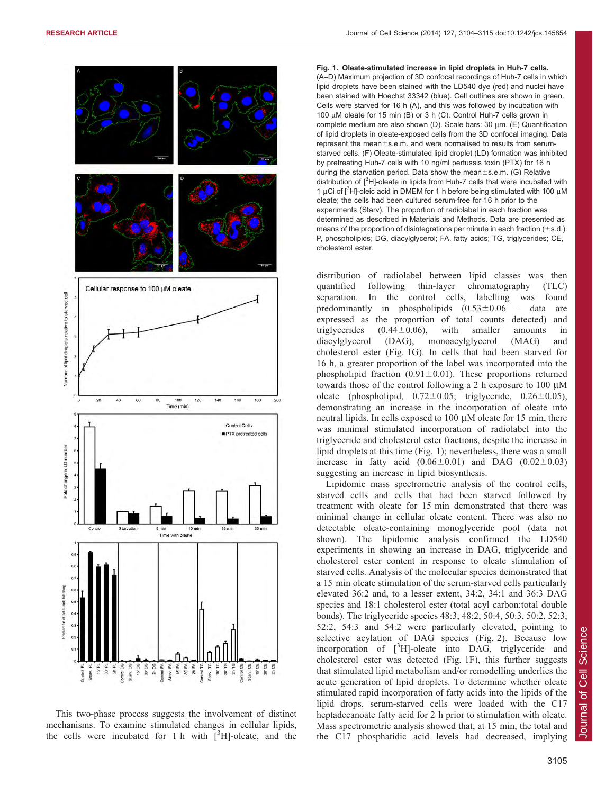<span id="page-1-0"></span>

This two-phase process suggests the involvement of distinct mechanisms. To examine stimulated changes in cellular lipids, the cells were incubated for 1 h with  $[3H]$ -oleate, and the

Fig. 1. Oleate-stimulated increase in lipid droplets in Huh-7 cells. (A–D) Maximum projection of 3D confocal recordings of Huh-7 cells in which lipid droplets have been stained with the LD540 dye (red) and nuclei have been stained with Hoechst 33342 (blue). Cell outlines are shown in green. Cells were starved for 16 h (A), and this was followed by incubation with 100  $\mu$ M oleate for 15 min (B) or 3 h (C). Control Huh-7 cells grown in complete medium are also shown (D). Scale bars: 30 um. (E) Quantification of lipid droplets in oleate-exposed cells from the 3D confocal imaging. Data represent the mean±s.e.m. and were normalised to results from serumstarved cells. (F) Oleate-stimulated lipid droplet (LD) formation was inhibited by pretreating Huh-7 cells with 10 ng/ml pertussis toxin (PTX) for 16 h during the starvation period. Data show the mean $\pm$ s.e.m. (G) Relative distribution of [<sup>3</sup>H]-oleate in lipids from Huh-7 cells that were incubated with 1 µCi of [ $3$ H]-oleic acid in DMEM for 1 h before being stimulated with 100 µM oleate; the cells had been cultured serum-free for 16 h prior to the experiments (Starv). The proportion of radiolabel in each fraction was determined as described in Materials and Methods. Data are presented as means of the proportion of disintegrations per minute in each fraction ( $\pm$ s.d.). P, phospholipids; DG, diacylglycerol; FA, fatty acids; TG, triglycerides; CE, cholesterol ester.

distribution of radiolabel between lipid classes was then quantified following thin-layer chromatography (TLC) separation. In the control cells, labelling was found predominantly in phospholipids  $(0.53 \pm 0.06 - \text{data} \text{ are})$ expressed as the proportion of total counts detected) and triglycerides  $(0.44 \pm 0.06)$ , with smaller amounts in diacylglycerol (DAG), monoacylglycerol (MAG) and cholesterol ester (Fig. 1G). In cells that had been starved for 16 h, a greater proportion of the label was incorporated into the phospholipid fraction (0.91 $\pm$ 0.01). These proportions returned towards those of the control following a 2 h exposure to 100  $\mu$ M oleate (phospholipid,  $0.72 \pm 0.05$ ; triglyceride,  $0.26 \pm 0.05$ ), demonstrating an increase in the incorporation of oleate into neutral lipids. In cells exposed to  $100 \mu M$  oleate for  $15 \text{ min}$ , there was minimal stimulated incorporation of radiolabel into the triglyceride and cholesterol ester fractions, despite the increase in lipid droplets at this time (Fig. 1); nevertheless, there was a small increase in fatty acid  $(0.06\pm0.01)$  and DAG  $(0.02\pm0.03)$ suggesting an increase in lipid biosynthesis.

Lipidomic mass spectrometric analysis of the control cells, starved cells and cells that had been starved followed by treatment with oleate for 15 min demonstrated that there was minimal change in cellular oleate content. There was also no detectable oleate-containing monoglyceride pool (data not shown). The lipidomic analysis confirmed the LD540 experiments in showing an increase in DAG, triglyceride and cholesterol ester content in response to oleate stimulation of starved cells. Analysis of the molecular species demonstrated that a 15 min oleate stimulation of the serum-starved cells particularly elevated 36:2 and, to a lesser extent, 34:2, 34:1 and 36:3 DAG species and 18:1 cholesterol ester (total acyl carbon:total double bonds). The triglyceride species 48:3, 48:2, 50:4, 50:3, 50:2, 52:3, 52:2, 54:3 and 54:2 were particularly elevated, pointing to selective acylation of DAG species ([Fig. 2\)](#page-2-0). Because low incorporation of  $[^{3}H]$ -oleate into DAG, triglyceride and cholesterol ester was detected (Fig. 1F), this further suggests that stimulated lipid metabolism and/or remodelling underlies the acute generation of lipid droplets. To determine whether oleate stimulated rapid incorporation of fatty acids into the lipids of the lipid drops, serum-starved cells were loaded with the C17 heptadecanoate fatty acid for 2 h prior to stimulation with oleate. Mass spectrometric analysis showed that, at 15 min, the total and the C17 phosphatidic acid levels had decreased, implying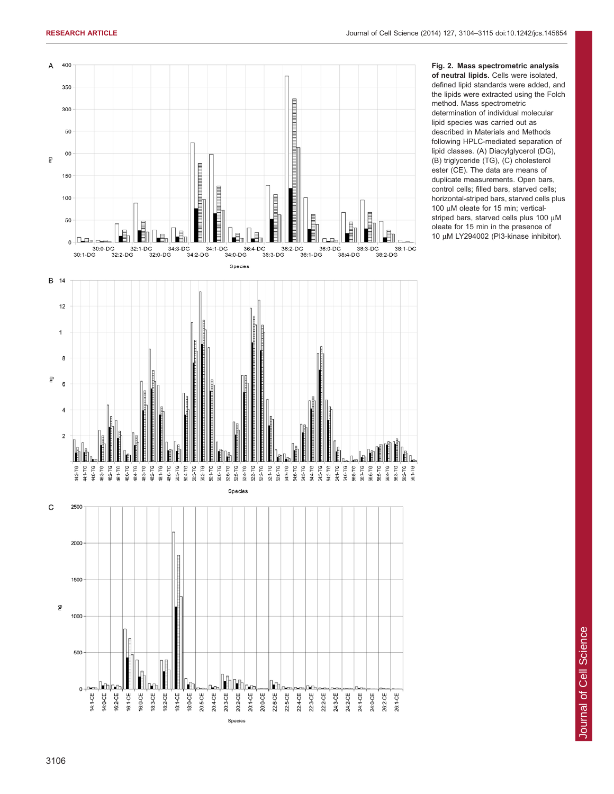<span id="page-2-0"></span>

Fig. 2. Mass spectrometric analysis of neutral lipids. Cells were isolated, defined lipid standards were added, and the lipids were extracted using the Folch method. Mass spectrometric determination of individual molecular lipid species was carried out as described in Materials and Methods following HPLC-mediated separation of lipid classes. (A) Diacylglycerol (DG), (B) triglyceride (TG), (C) cholesterol ester (CE). The data are means of duplicate measurements. Open bars, control cells; filled bars, starved cells; horizontal-striped bars, starved cells plus 100  $\mu$ M oleate for 15 min; verticalstriped bars, starved cells plus 100 µM oleate for 15 min in the presence of 10 μM LY294002 (PI3-kinase inhibitor).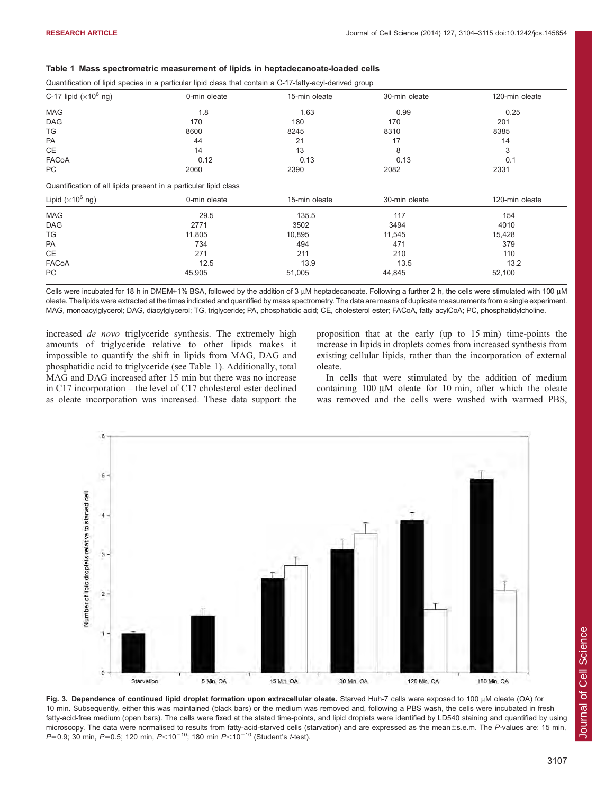| Quantification of lipid species in a particular lipid class that contain a C-17-fatty-acyl-derived group |              |               |               |                |  |  |  |  |  |
|----------------------------------------------------------------------------------------------------------|--------------|---------------|---------------|----------------|--|--|--|--|--|
| C-17 lipid $(x10^6 \text{ ng})$                                                                          | 0-min oleate | 15-min oleate | 30-min oleate | 120-min oleate |  |  |  |  |  |
| <b>MAG</b>                                                                                               | 1.8          |               | 0.99          | 0.25           |  |  |  |  |  |
| <b>DAG</b>                                                                                               | 170          | 180           | 170           | 201            |  |  |  |  |  |
| TG                                                                                                       | 8600         | 8245          | 8310          | 8385           |  |  |  |  |  |
| PA                                                                                                       | 44           | 21<br>17      |               | 14             |  |  |  |  |  |
| CE                                                                                                       | 14           | 8<br>13       |               | 3              |  |  |  |  |  |
| FACoA                                                                                                    | 0.12         | 0.13          | 0.13          | 0.1            |  |  |  |  |  |
| PC                                                                                                       | 2060         | 2390<br>2082  |               | 2331           |  |  |  |  |  |
| Quantification of all lipids present in a particular lipid class                                         |              |               |               |                |  |  |  |  |  |
| Lipid $(x10^6 \text{ ng})$                                                                               | 0-min oleate | 15-min oleate | 30-min oleate | 120-min oleate |  |  |  |  |  |
| <b>MAG</b>                                                                                               | 29.5         | 135.5         | 117           | 154            |  |  |  |  |  |
| <b>DAG</b>                                                                                               | 2771         | 3502          | 3494          | 4010           |  |  |  |  |  |
| TG                                                                                                       | 11,805       | 10,895        | 11,545        | 15,428         |  |  |  |  |  |
| <b>PA</b>                                                                                                | 734          | 494           | 471           | 379            |  |  |  |  |  |
| CE                                                                                                       | 271          | 211           | 210           | 110            |  |  |  |  |  |
| FACoA                                                                                                    | 12.5         | 13.9          | 13.5          | 13.2           |  |  |  |  |  |
| PC                                                                                                       | 45,905       | 51,005        | 44,845        | 52,100         |  |  |  |  |  |

<span id="page-3-0"></span>

|  |  | Table 1 Mass spectrometric measurement of lipids in heptadecanoate-loaded cells |  |  |  |  |  |  |
|--|--|---------------------------------------------------------------------------------|--|--|--|--|--|--|
|--|--|---------------------------------------------------------------------------------|--|--|--|--|--|--|

Cells were incubated for 18 h in DMEM+1% BSA, followed by the addition of 3  $\mu$ M heptadecanoate. Following a further 2 h, the cells were stimulated with 100  $\mu$ M oleate. The lipids were extracted at the times indicated and quantified by mass spectrometry. The data are means of duplicate measurements from a single experiment. MAG, monoacylglycerol; DAG, diacylglycerol; TG, triglyceride; PA, phosphatidic acid; CE, cholesterol ester; FACoA, fatty acylCoA; PC, phosphatidylcholine.

increased de novo triglyceride synthesis. The extremely high amounts of triglyceride relative to other lipids makes it impossible to quantify the shift in lipids from MAG, DAG and phosphatidic acid to triglyceride (see Table 1). Additionally, total MAG and DAG increased after 15 min but there was no increase in C17 incorporation – the level of C17 cholesterol ester declined as oleate incorporation was increased. These data support the

proposition that at the early (up to 15 min) time-points the increase in lipids in droplets comes from increased synthesis from existing cellular lipids, rather than the incorporation of external oleate.

In cells that were stimulated by the addition of medium containing  $100 \mu M$  oleate for 10 min, after which the oleate was removed and the cells were washed with warmed PBS,



Fig. 3. Dependence of continued lipid droplet formation upon extracellular oleate. Starved Huh-7 cells were exposed to 100 uM oleate (OA) for 10 min. Subsequently, either this was maintained (black bars) or the medium was removed and, following a PBS wash, the cells were incubated in fresh fatty-acid-free medium (open bars). The cells were fixed at the stated time-points, and lipid droplets were identified by LD540 staining and quantified by using microscopy. The data were normalised to results from fatty-acid-starved cells (starvation) and are expressed as the mean±s.e.m. The P-values are: 15 min, P=0.9; 30 min, P=0.5; 120 min, P<10<sup>-10</sup>; 180 min P<10<sup>-10</sup> (Student's t-test).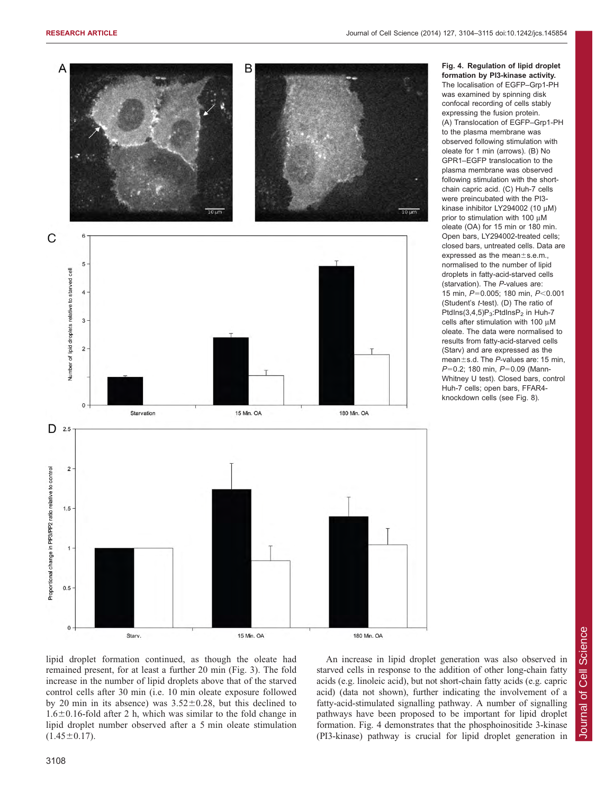<span id="page-4-0"></span>

Fig. 4. Regulation of lipid droplet formation by PI3-kinase activity. The localisation of EGFP–Grp1-PH was examined by spinning disk confocal recording of cells stably expressing the fusion protein. (A) Translocation of EGFP–Grp1-PH to the plasma membrane was observed following stimulation with oleate for 1 min (arrows). (B) No GPR1–EGFP translocation to the plasma membrane was observed following stimulation with the shortchain capric acid. (C) Huh-7 cells were preincubated with the PI3 kinase inhibitor LY294002 (10 µM) prior to stimulation with 100  $\mu$ M oleate (OA) for 15 min or 180 min. Open bars, LY294002-treated cells; closed bars, untreated cells. Data are expressed as the mean $\pm$ s.e.m., normalised to the number of lipid droplets in fatty-acid-starved cells (starvation). The P-values are: 15 min, P=0.005; 180 min, P<0.001 (Student's t-test). (D) The ratio of PtdIns $(3,4,5)P_3$ :PtdIns $P_2$  in Huh-7 cells after stimulation with 100  $\mu$ M oleate. The data were normalised to results from fatty-acid-starved cells (Starv) and are expressed as the mean $\pm$ s.d. The P-values are: 15 min,  $P=0.2$ ; 180 min,  $P=0.09$  (Mann-Whitney U test). Closed bars, control Huh-7 cells; open bars, FFAR4-



An increase in lipid droplet generation was also observed in starved cells in response to the addition of other long-chain fatty acids (e.g. linoleic acid), but not short-chain fatty acids (e.g. capric acid) (data not shown), further indicating the involvement of a fatty-acid-stimulated signalling pathway. A number of signalling pathways have been proposed to be important for lipid droplet formation. Fig. 4 demonstrates that the phosphoinositide 3-kinase (PI3-kinase) pathway is crucial for lipid droplet generation in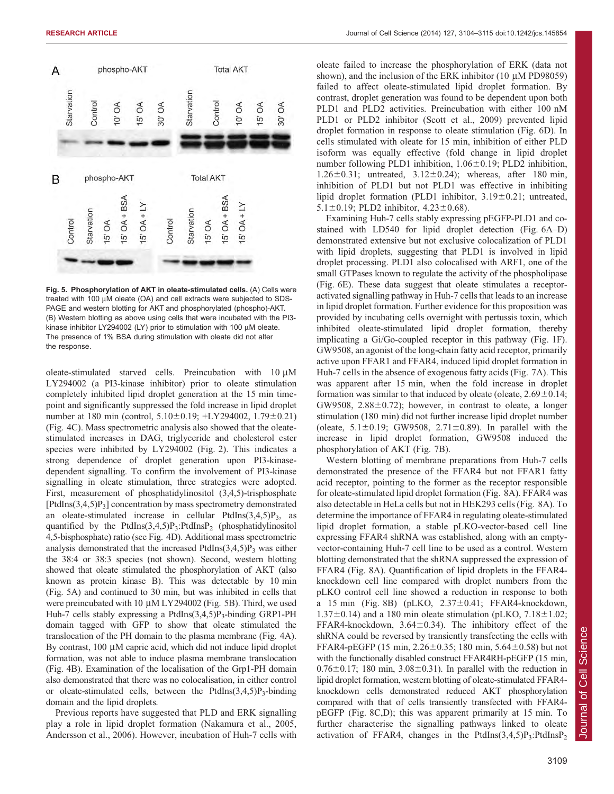

Fig. 5. Phosphorylation of AKT in oleate-stimulated cells. (A) Cells were treated with 100 µM oleate (OA) and cell extracts were subjected to SDS-PAGE and western blotting for AKT and phosphorylated (phospho)-AKT. (B) Western blotting as above using cells that were incubated with the PI3 kinase inhibitor LY294002 (LY) prior to stimulation with 100  $\mu$ M oleate. The presence of 1% BSA during stimulation with oleate did not alter the response.

oleate-stimulated starved cells. Preincubation with  $10 \mu M$ LY294002 (a PI3-kinase inhibitor) prior to oleate stimulation completely inhibited lipid droplet generation at the 15 min timepoint and significantly suppressed the fold increase in lipid droplet number at 180 min (control,  $5.10 \pm 0.19$ ; +LY294002,  $1.79 \pm 0.21$ ) ([Fig. 4C\)](#page-4-0). Mass spectrometric analysis also showed that the oleatestimulated increases in DAG, triglyceride and cholesterol ester species were inhibited by LY294002 [\(Fig. 2\)](#page-2-0). This indicates a strong dependence of droplet generation upon PI3-kinasedependent signalling. To confirm the involvement of PI3-kinase signalling in oleate stimulation, three strategies were adopted. First, measurement of phosphatidylinositol (3,4,5)-trisphosphate  $[PtdIns(3,4,5)P_3]$  concentration by mass spectrometry demonstrated an oleate-stimulated increase in cellular PtdIns $(3,4,5)P_3$ , as quantified by the PtdIns $(3,4,5)P_3$ :PtdInsP<sub>2</sub> (phosphatidylinositol 4,5-bisphosphate) ratio (see [Fig. 4D](#page-4-0)). Additional mass spectrometric analysis demonstrated that the increased PtdIns $(3,4,5)P_3$  was either the 38:4 or 38:3 species (not shown). Second, western blotting showed that oleate stimulated the phosphorylation of AKT (also known as protein kinase B). This was detectable by 10 min (Fig. 5A) and continued to 30 min, but was inhibited in cells that were preincubated with 10 µM LY294002 (Fig. 5B). Third, we used Huh-7 cells stably expressing a PtdIns $(3,4,5)P_3$ -binding GRP1-PH domain tagged with GFP to show that oleate stimulated the translocation of the PH domain to the plasma membrane ([Fig. 4A](#page-4-0)). By contrast,  $100 \mu M$  capric acid, which did not induce lipid droplet formation, was not able to induce plasma membrane translocation ([Fig. 4B](#page-4-0)). Examination of the localisation of the Grp1-PH domain also demonstrated that there was no colocalisation, in either control or oleate-stimulated cells, between the PtdIns $(3,4,5)P_3$ -binding domain and the lipid droplets.

Previous reports have suggested that PLD and ERK signalling play a role in lipid droplet formation ([Nakamura et al., 2005](#page-11-0), [Andersson et al., 2006](#page-11-0)). However, incubation of Huh-7 cells with oleate failed to increase the phosphorylation of ERK (data not shown), and the inclusion of the ERK inhibitor  $(10 \mu M P D98059)$ failed to affect oleate-stimulated lipid droplet formation. By contrast, droplet generation was found to be dependent upon both PLD1 and PLD2 activities. Preincubation with either 100 nM PLD1 or PLD2 inhibitor [\(Scott et al., 2009\)](#page-11-0) prevented lipid droplet formation in response to oleate stimulation ([Fig. 6D](#page-6-0)). In cells stimulated with oleate for 15 min, inhibition of either PLD isoform was equally effective (fold change in lipid droplet number following PLD1 inhibition,  $1.06 \pm 0.19$ ; PLD2 inhibition, 1.26 $\pm$ 0.31; untreated, 3.12 $\pm$ 0.24); whereas, after 180 min, inhibition of PLD1 but not PLD1 was effective in inhibiting lipid droplet formation (PLD1 inhibitor,  $3.19 \pm 0.21$ ; untreated, 5.1 $\pm$ 0.19; PLD2 inhibitor, 4.23 $\pm$ 0.68).

Examining Huh-7 cells stably expressing pEGFP-PLD1 and costained with LD540 for lipid droplet detection [\(Fig. 6A–D\)](#page-6-0) demonstrated extensive but not exclusive colocalization of PLD1 with lipid droplets, suggesting that PLD1 is involved in lipid droplet processing. PLD1 also colocalised with ARF1, one of the small GTPases known to regulate the activity of the phospholipase ([Fig. 6E](#page-6-0)). These data suggest that oleate stimulates a receptoractivated signalling pathway in Huh-7 cells that leads to an increase in lipid droplet formation. Further evidence for this proposition was provided by incubating cells overnight with pertussis toxin, which inhibited oleate-stimulated lipid droplet formation, thereby implicating a Gi/Go-coupled receptor in this pathway ([Fig. 1F](#page-1-0)). GW9508, an agonist of the long-chain fatty acid receptor, primarily active upon FFAR1 and FFAR4, induced lipid droplet formation in Huh-7 cells in the absence of exogenous fatty acids [\(Fig. 7A\)](#page-8-0). This was apparent after 15 min, when the fold increase in droplet formation was similar to that induced by oleate (oleate,  $2.69\pm0.14$ ; GW9508,  $2.88 \pm 0.72$ ; however, in contrast to oleate, a longer stimulation (180 min) did not further increase lipid droplet number (oleate,  $5.1 \pm 0.19$ ; GW9508,  $2.71 \pm 0.89$ ). In parallel with the increase in lipid droplet formation, GW9508 induced the phosphorylation of AKT [\(Fig. 7B](#page-8-0)).

Western blotting of membrane preparations from Huh-7 cells demonstrated the presence of the FFAR4 but not FFAR1 fatty acid receptor, pointing to the former as the receptor responsible for oleate-stimulated lipid droplet formation ([Fig. 8A](#page-9-0)). FFAR4 was also detectable in HeLa cells but not in HEK293 cells ([Fig. 8A](#page-9-0)). To determine the importance of FFAR4 in regulating oleate-stimulated lipid droplet formation, a stable pLKO-vector-based cell line expressing FFAR4 shRNA was established, along with an emptyvector-containing Huh-7 cell line to be used as a control. Western blotting demonstrated that the shRNA suppressed the expression of FFAR4 [\(Fig. 8A](#page-9-0)). Quantification of lipid droplets in the FFAR4 knockdown cell line compared with droplet numbers from the pLKO control cell line showed a reduction in response to both a 15 min [\(Fig. 8B\)](#page-9-0) (pLKO,  $2.37 \pm 0.41$ ; FFAR4-knockdown,  $1.37\pm0.14$ ) and a 180 min oleate stimulation (pLKO,  $7.18\pm1.02$ ; FFAR4-knockdown,  $3.64 \pm 0.34$ ). The inhibitory effect of the shRNA could be reversed by transiently transfecting the cells with FFAR4-pEGFP (15 min,  $2.26 \pm 0.35$ ; 180 min,  $5.64 \pm 0.58$ ) but not with the functionally disabled construct FFAR4RH-pEGFP (15 min,  $0.76\pm0.17$ ; 180 min,  $3.08\pm0.31$ ). In parallel with the reduction in lipid droplet formation, western blotting of oleate-stimulated FFAR4 knockdown cells demonstrated reduced AKT phosphorylation compared with that of cells transiently transfected with FFAR4 pEGFP ([Fig. 8C,D\)](#page-9-0); this was apparent primarily at 15 min. To further characterise the signalling pathways linked to oleate activation of FFAR4, changes in the PtdIns $(3,4,5)P_3$ :PtdIns $P_2$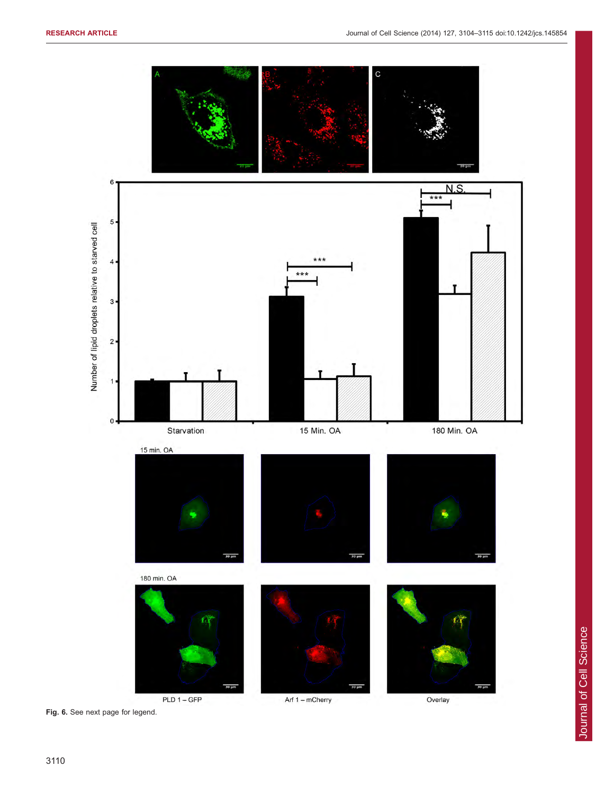<span id="page-6-0"></span>

Fig. 6. See next page for legend.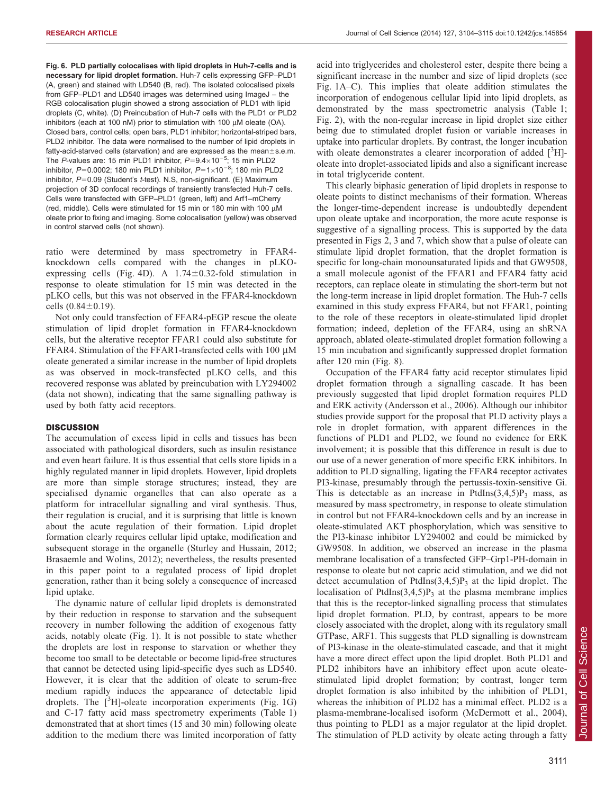Fig. 6. PLD partially colocalises with lipid droplets in Huh-7-cells and is necessary for lipid droplet formation. Huh-7 cells expressing GFP–PLD1 (A, green) and stained with LD540 (B, red). The isolated colocalised pixels from GFP–PLD1 and LD540 images was determined using ImageJ – the RGB colocalisation plugin showed a strong association of PLD1 with lipid droplets (C, white). (D) Preincubation of Huh-7 cells with the PLD1 or PLD2 inhibitors (each at 100 nM) prior to stimulation with 100  $\mu$ M oleate (OA). Closed bars, control cells; open bars, PLD1 inhibitor; horizontal-striped bars, PLD2 inhibitor. The data were normalised to the number of lipid droplets in fatty-acid-starved cells (starvation) and are expressed as the mean $\pm$ s.e.m. The P-values are: 15 min PLD1 inhibitor,  $P=9.4\times10^{-5}$ ; 15 min PLD2 inhibitor, P=0.0002; 180 min PLD1 inhibitor, P=1 $\times$ 10<sup>-8</sup>; 180 min PLD2 inhibitor,  $P=0.09$  (Student's t-test). N.S, non-significant. (E) Maximum projection of 3D confocal recordings of transiently transfected Huh-7 cells. Cells were transfected with GFP–PLD1 (green, left) and Arf1–mCherry (red, middle). Cells were stimulated for 15 min or 180 min with 100  $\mu$ M oleate prior to fixing and imaging. Some colocalisation (yellow) was observed in control starved cells (not shown).

ratio were determined by mass spectrometry in FFAR4 knockdown cells compared with the changes in pLKO-expressing cells [\(Fig. 4D\)](#page-4-0). A  $1.74 \pm 0.32$ -fold stimulation in response to oleate stimulation for 15 min was detected in the pLKO cells, but this was not observed in the FFAR4-knockdown cells  $(0.84 \pm 0.19)$ .

Not only could transfection of FFAR4-pEGP rescue the oleate stimulation of lipid droplet formation in FFAR4-knockdown cells, but the alterative receptor FFAR1 could also substitute for FFAR4. Stimulation of the FFAR1-transfected cells with 100  $\mu$ M oleate generated a similar increase in the number of lipid droplets as was observed in mock-transfected pLKO cells, and this recovered response was ablated by preincubation with LY294002 (data not shown), indicating that the same signalling pathway is used by both fatty acid receptors.

#### **DISCUSSION**

The accumulation of excess lipid in cells and tissues has been associated with pathological disorders, such as insulin resistance and even heart failure. It is thus essential that cells store lipids in a highly regulated manner in lipid droplets. However, lipid droplets are more than simple storage structures; instead, they are specialised dynamic organelles that can also operate as a platform for intracellular signalling and viral synthesis. Thus, their regulation is crucial, and it is surprising that little is known about the acute regulation of their formation. Lipid droplet formation clearly requires cellular lipid uptake, modification and subsequent storage in the organelle [\(Sturley and Hussain, 2012](#page-11-0); [Brasaemle and Wolins, 2012\)](#page-11-0); nevertheless, the results presented in this paper point to a regulated process of lipid droplet generation, rather than it being solely a consequence of increased lipid uptake.

The dynamic nature of cellular lipid droplets is demonstrated by their reduction in response to starvation and the subsequent recovery in number following the addition of exogenous fatty acids, notably oleate ([Fig. 1](#page-1-0)). It is not possible to state whether the droplets are lost in response to starvation or whether they become too small to be detectable or become lipid-free structures that cannot be detected using lipid-specific dyes such as LD540. However, it is clear that the addition of oleate to serum-free medium rapidly induces the appearance of detectable lipid droplets. The  $[^{3}H]$ -oleate incorporation experiments [\(Fig. 1G\)](#page-1-0) and C-17 fatty acid mass spectrometry experiments [\(Table 1\)](#page-3-0) demonstrated that at short times (15 and 30 min) following oleate addition to the medium there was limited incorporation of fatty

acid into triglycerides and cholesterol ester, despite there being a significant increase in the number and size of lipid droplets (see [Fig. 1A–C](#page-1-0)). This implies that oleate addition stimulates the incorporation of endogenous cellular lipid into lipid droplets, as demonstrated by the mass spectrometric analysis ([Table 1](#page-3-0); [Fig. 2\)](#page-2-0), with the non-regular increase in lipid droplet size either being due to stimulated droplet fusion or variable increases in uptake into particular droplets. By contrast, the longer incubation with oleate demonstrates a clearer incorporation of added  $[^3H]$ oleate into droplet-associated lipids and also a significant increase in total triglyceride content.

This clearly biphasic generation of lipid droplets in response to oleate points to distinct mechanisms of their formation. Whereas the longer-time-dependent increase is undoubtedly dependent upon oleate uptake and incorporation, the more acute response is suggestive of a signalling process. This is supported by the data presented in [Figs 2](#page-2-0), [3](#page-3-0) and [7](#page-8-0), which show that a pulse of oleate can stimulate lipid droplet formation, that the droplet formation is specific for long-chain monounsaturated lipids and that GW9508, a small molecule agonist of the FFAR1 and FFAR4 fatty acid receptors, can replace oleate in stimulating the short-term but not the long-term increase in lipid droplet formation. The Huh-7 cells examined in this study express FFAR4, but not FFAR1, pointing to the role of these receptors in oleate-stimulated lipid droplet formation; indeed, depletion of the FFAR4, using an shRNA approach, ablated oleate-stimulated droplet formation following a 15 min incubation and significantly suppressed droplet formation after 120 min ([Fig. 8\)](#page-9-0).

Occupation of the FFAR4 fatty acid receptor stimulates lipid droplet formation through a signalling cascade. It has been previously suggested that lipid droplet formation requires PLD and ERK activity [\(Andersson et al., 2006](#page-11-0)). Although our inhibitor studies provide support for the proposal that PLD activity plays a role in droplet formation, with apparent differences in the functions of PLD1 and PLD2, we found no evidence for ERK involvement; it is possible that this difference in result is due to our use of a newer generation of more specific ERK inhibitors. In addition to PLD signalling, ligating the FFAR4 receptor activates PI3-kinase, presumably through the pertussis-toxin-sensitive Gi. This is detectable as an increase in PtdIns $(3,4,5)P_3$  mass, as measured by mass spectrometry, in response to oleate stimulation in control but not FFAR4-knockdown cells and by an increase in oleate-stimulated AKT phosphorylation, which was sensitive to the PI3-kinase inhibitor LY294002 and could be mimicked by GW9508. In addition, we observed an increase in the plasma membrane localisation of a transfected GFP–Grp1-PH-domain in response to oleate but not capric acid stimulation, and we did not detect accumulation of PtdIns $(3,4,5)P_3$  at the lipid droplet. The localisation of PtdIns $(3,4,5)P_3$  at the plasma membrane implies that this is the receptor-linked signalling process that stimulates lipid droplet formation. PLD, by contrast, appears to be more closely associated with the droplet, along with its regulatory small GTPase, ARF1. This suggests that PLD signalling is downstream of PI3-kinase in the oleate-stimulated cascade, and that it might have a more direct effect upon the lipid droplet. Both PLD1 and PLD2 inhibitors have an inhibitory effect upon acute oleatestimulated lipid droplet formation; by contrast, longer term droplet formation is also inhibited by the inhibition of PLD1, whereas the inhibition of PLD2 has a minimal effect. PLD2 is a plasma-membrane-localised isoform ([McDermott et al., 2004](#page-11-0)), thus pointing to PLD1 as a major regulator at the lipid droplet. The stimulation of PLD activity by oleate acting through a fatty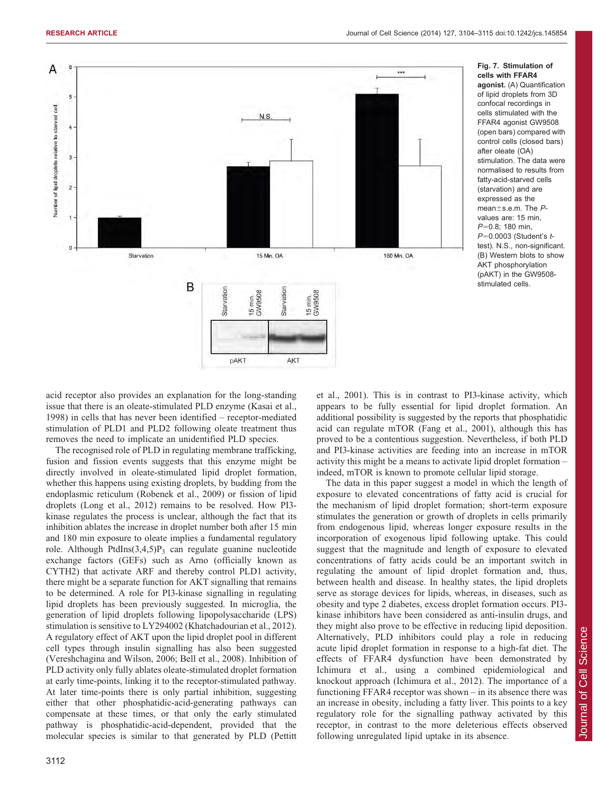<span id="page-8-0"></span>

Fig. 7. Stimulation of cells with FFAR4 agonist. (A) Quantification of lipid droplets from 3D confocal recordings in cells stimulated with the FFAR4 agonist GW9508 (open bars) compared with control cells (closed bars) after oleate (OA) stimulation. The data were normalised to results from fatty-acid-starved cells (starvation) and are expressed as the mean $\pm$ s.e.m. The  $P$ values are: 15 min, P=0.8; 180 min,  $P=0.0003$  (Student's  $t$ test). N.S., non-significant. (B) Western blots to show AKT phosphorylation (pAKT) in the GW9508 stimulated cells.

acid receptor also provides an explanation for the long-standing issue that there is an oleate-stimulated PLD enzyme ([Kasai et al.,](#page-11-0) [1998\)](#page-11-0) in cells that has never been identified – receptor-mediated stimulation of PLD1 and PLD2 following oleate treatment thus removes the need to implicate an unidentified PLD species.

The recognised role of PLD in regulating membrane trafficking, fusion and fission events suggests that this enzyme might be directly involved in oleate-stimulated lipid droplet formation, whether this happens using existing droplets, by budding from the endoplasmic reticulum ([Robenek et al., 2009\)](#page-11-0) or fission of lipid droplets [\(Long et al., 2012](#page-11-0)) remains to be resolved. How PI3 kinase regulates the process is unclear, although the fact that its inhibition ablates the increase in droplet number both after 15 min and 180 min exposure to oleate implies a fundamental regulatory role. Although PtdIns $(3,4,5)P_3$  can regulate guanine nucleotide exchange factors (GEFs) such as Arno (officially known as CYTH2) that activate ARF and thereby control PLD1 activity, there might be a separate function for AKT signalling that remains to be determined. A role for PI3-kinase signalling in regulating lipid droplets has been previously suggested. In microglia, the generation of lipid droplets following lipopolysaccharide (LPS) stimulation is sensitive to LY294002 ([Khatchadourian et al., 2012](#page-11-0)). A regulatory effect of AKT upon the lipid droplet pool in different cell types through insulin signalling has also been suggested ([Vereshchagina and Wilson, 2006](#page-11-0); [Bell et al., 2008](#page-11-0)). Inhibition of PLD activity only fully ablates oleate-stimulated droplet formation at early time-points, linking it to the receptor-stimulated pathway. At later time-points there is only partial inhibition, suggesting either that other phosphatidic-acid-generating pathways can compensate at these times, or that only the early stimulated pathway is phosphatidic-acid-dependent, provided that the molecular species is similar to that generated by PLD [\(Pettitt](#page-11-0)

[et al., 2001](#page-11-0)). This is in contrast to PI3-kinase activity, which appears to be fully essential for lipid droplet formation. An additional possibility is suggested by the reports that phosphatidic acid can regulate mTOR ([Fang et al., 2001](#page-11-0)), although this has proved to be a contentious suggestion. Nevertheless, if both PLD and PI3-kinase activities are feeding into an increase in mTOR activity this might be a means to activate lipid droplet formation – indeed, mTOR is known to promote cellular lipid storage.

The data in this paper suggest a model in which the length of exposure to elevated concentrations of fatty acid is crucial for the mechanism of lipid droplet formation; short-term exposure stimulates the generation or growth of droplets in cells primarily from endogenous lipid, whereas longer exposure results in the incorporation of exogenous lipid following uptake. This could suggest that the magnitude and length of exposure to elevated concentrations of fatty acids could be an important switch in regulating the amount of lipid droplet formation and, thus, between health and disease. In healthy states, the lipid droplets serve as storage devices for lipids, whereas, in diseases, such as obesity and type 2 diabetes, excess droplet formation occurs. PI3 kinase inhibitors have been considered as anti-insulin drugs, and they might also prove to be effective in reducing lipid deposition. Alternatively, PLD inhibitors could play a role in reducing acute lipid droplet formation in response to a high-fat diet. The effects of FFAR4 dysfunction have been demonstrated by Ichimura et al., using a combined epidemiological and knockout approach ([Ichimura et al., 2012](#page-11-0)). The importance of a functioning FFAR4 receptor was shown – in its absence there was an increase in obesity, including a fatty liver. This points to a key regulatory role for the signalling pathway activated by this receptor, in contrast to the more deleterious effects observed following unregulated lipid uptake in its absence.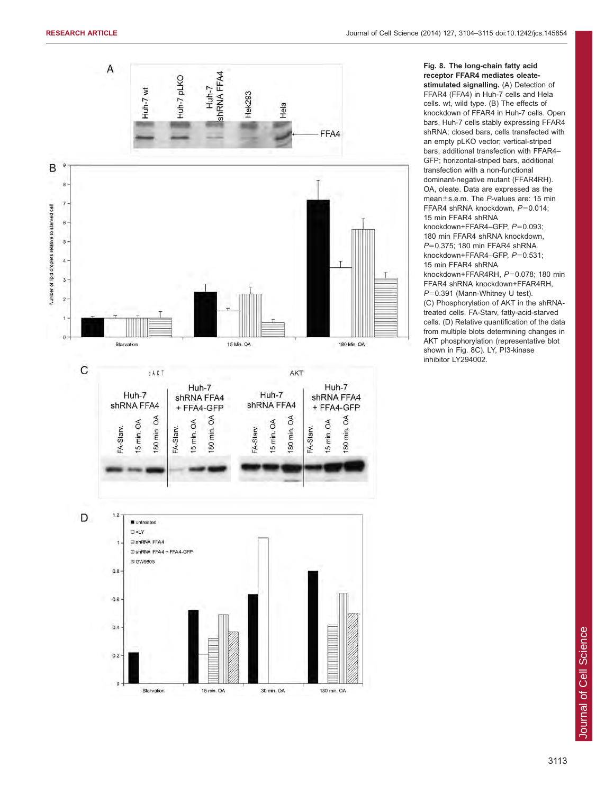<span id="page-9-0"></span>

Fig. 8. The long-chain fatty acid receptor FFAR4 mediates oleatestimulated signalling. (A) Detection of FFAR4 (FFA4) in Huh-7 cells and Hela cells. wt, wild type. (B) The effects of knockdown of FFAR4 in Huh-7 cells. Open bars, Huh-7 cells stably expressing FFAR4 shRNA; closed bars, cells transfected with an empty pLKO vector; vertical-striped bars, additional transfection with FFAR4– GFP; horizontal-striped bars, additional transfection with a non-functional dominant-negative mutant (FFAR4RH). OA, oleate. Data are expressed as the mean $\pm$ s.e.m. The P-values are: 15 min FFAR4 shRNA knockdown,  $P=0.014$ ; 15 min FFAR4 shRNA

knockdown+FFAR4–GFP,  $P=0.093$ ; 180 min FFAR4 shRNA knockdown,  $P=0.375$ ; 180 min FFAR4 shRNA knockdown+FFAR4–GFP,  $P=0.531$ ; 15 min FFAR4 shRNA

knockdown+FFAR4RH,  $P=0.078$ ; 180 min FFAR4 shRNA knockdown+FFAR4RH,  $P=0.391$  (Mann-Whitney U test). (C) Phosphorylation of AKT in the shRNAtreated cells. FA-Starv, fatty-acid-starved cells. (D) Relative quantification of the data

from multiple blots determining changes in AKT phosphorylation (representative blot shown in Fig. 8C). LY, PI3-kinase inhibitor LY294002.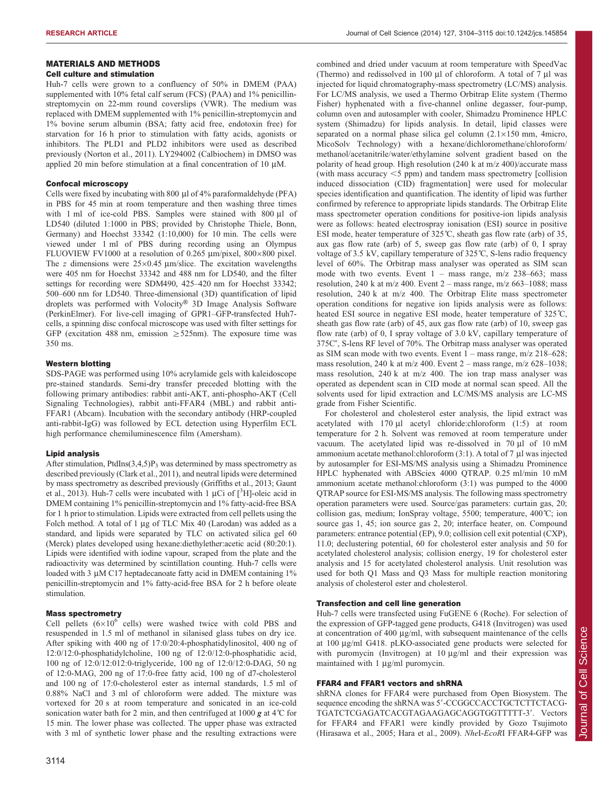# MATERIALS AND METHODS

# Cell culture and stimulation

Huh-7 cells were grown to a confluency of 50% in DMEM (PAA) supplemented with 10% fetal calf serum (FCS) (PAA) and 1% penicillinstreptomycin on 22-mm round coverslips (VWR). The medium was replaced with DMEM supplemented with 1% penicillin-streptomycin and 1% bovine serum albumin (BSA; fatty acid free, endotoxin free) for starvation for 16 h prior to stimulation with fatty acids, agonists or inhibitors. The PLD1 and PLD2 inhibitors were used as described previously ([Norton et al., 2011](#page-11-0)). LY294002 (Calbiochem) in DMSO was applied 20 min before stimulation at a final concentration of 10  $\mu$ M.

#### Confocal microscopy

Cells were fixed by incubating with 800 µl of 4% paraformaldehyde (PFA) in PBS for 45 min at room temperature and then washing three times with 1 ml of ice-cold PBS. Samples were stained with 800 µl of LD540 (diluted 1:1000 in PBS; provided by Christophe Thiele, Bonn, Germany) and Hoechst 33342 (1:10,000) for 10 min. The cells were viewed under 1 ml of PBS during recording using an Olympus FLUOVIEW FV1000 at a resolution of 0.265  $\mu$ m/pixel, 800×800 pixel. The z dimensions were  $25 \times 0.45$  µm/slice. The excitation wavelengths were 405 nm for Hoechst 33342 and 488 nm for LD540, and the filter settings for recording were SDM490, 425–420 nm for Hoechst 33342; 500–600 nm for LD540. Three-dimensional (3D) quantification of lipid droplets was performed with Volocity® 3D Image Analysis Software (PerkinElmer). For live-cell imaging of GPR1–GFP-transfected Huh7 cells, a spinning disc confocal microscope was used with filter settings for GFP (excitation 488 nm, emission  $\geq$  525nm). The exposure time was 350 ms.

### Western blotting

SDS-PAGE was performed using 10% acrylamide gels with kaleidoscope pre-stained standards. Semi-dry transfer preceded blotting with the following primary antibodies: rabbit anti-AKT, anti-phospho-AKT (Cell Signaling Technologies), rabbit anti-FFAR4 (MBL) and rabbit anti-FFAR1 (Abcam). Incubation with the secondary antibody (HRP-coupled anti-rabbit-IgG) was followed by ECL detection using Hyperfilm ECL high performance chemiluminescence film (Amersham).

#### Lipid analysis

After stimulation, PtdIns $(3,4,5)P_3$  was determined by mass spectrometry as described previously ([Clark et al., 2011](#page-11-0)), and neutral lipids were determined by mass spectrometry as described previously [\(Griffiths et al., 2013](#page-11-0); [Gaunt](#page-11-0) [et al., 2013\)](#page-11-0). Huh-7 cells were incubated with 1  $\mu$ Ci of [<sup>3</sup>H]-oleic acid in DMEM containing 1% penicillin-streptomycin and 1% fatty-acid-free BSA for 1 h prior to stimulation. Lipids were extracted from cell pellets using the Folch method. A total of 1 µg of TLC Mix 40 (Larodan) was added as a standard, and lipids were separated by TLC on activated silica gel 60 (Merck) plates developed using hexane:diethylether:acetic acid (80:20:1). Lipids were identified with iodine vapour, scraped from the plate and the radioactivity was determined by scintillation counting. Huh-7 cells were loaded with 3  $\mu$ M C17 heptadecanoate fatty acid in DMEM containing 1% penicillin-streptomycin and 1% fatty-acid-free BSA for 2 h before oleate stimulation.

#### Mass spectrometry

Cell pellets  $(6\times10^6 \text{ cells})$  were washed twice with cold PBS and resuspended in 1.5 ml of methanol in silanised glass tubes on dry ice. After spiking with 400 ng of 17:0/20:4-phosphatidylinositol, 400 ng of 12:0/12:0-phosphatidylcholine, 100 ng of 12:0/12:0-phosphatidic acid, 100 ng of 12:0/12:012:0-triglyceride, 100 ng of 12:0/12:0-DAG, 50 ng of 12:0-MAG, 200 ng of 17:0-free fatty acid, 100 ng of d7-cholesterol and 100 ng of 17:0-cholesterol ester as internal standards, 1.5 ml of 0.88% NaCl and 3 ml of chloroform were added. The mixture was vortexed for 20 s at room temperature and sonicated in an ice-cold sonication water bath for 2 min, and then centrifuged at 1000  $g$  at 4<sup>°</sup>C for 15 min. The lower phase was collected. The upper phase was extracted with 3 ml of synthetic lower phase and the resulting extractions were

combined and dried under vacuum at room temperature with SpeedVac (Thermo) and redissolved in 100  $\mu$ l of chloroform. A total of 7  $\mu$ l was injected for liquid chromatography-mass spectrometry (LC/MS) analysis. For LC/MS analysis, we used a Thermo Orbitrap Elite system (Thermo Fisher) hyphenated with a five-channel online degasser, four-pump, column oven and autosampler with cooler, Shimadzu Prominence HPLC system (Shimadzu) for lipids analysis. In detail, lipid classes were separated on a normal phase silica gel column  $(2.1 \times 150 \text{ mm}, 4 \text{micro},$ MicoSolv Technology) with a hexane/dichloromethane/chloroform/ methanol/acetanitrile/water/ethylamine solvent gradient based on the polarity of head group. High resolution (240 k at m/z 400)/accurate mass (with mass accuracy  $\leq$  5 ppm) and tandem mass spectrometry [collision induced dissociation (CID) fragmentation] were used for molecular species identification and quantification. The identity of lipid was further confirmed by reference to appropriate lipids standards. The Orbitrap Elite mass spectrometer operation conditions for positive-ion lipids analysis were as follows: heated electrospray ionisation (ESI) source in positive ESI mode, heater temperature of 325°C, sheath gas flow rate (arb) of 35, aux gas flow rate (arb) of 5, sweep gas flow rate (arb) of 0, I spray voltage of 3.5 kV, capillary temperature of 325˚C, S-lens radio frequency level of 60%. The Orbitrap mass analyser was operated as SIM scan mode with two events. Event 1 – mass range, m/z 238–663; mass resolution, 240 k at m/z 400. Event  $2$  – mass range, m/z 663–1088; mass resolution, 240 k at m/z 400. The Orbitrap Elite mass spectrometer operation conditions for negative ion lipids analysis were as follows: heated ESI source in negative ESI mode, heater temperature of 325℃, sheath gas flow rate (arb) of 45, aux gas flow rate (arb) of 10, sweep gas flow rate (arb) of 0, I spray voltage of 3.0 kV, capillary temperature of 375C˚, S-lens RF level of 70%. The Orbitrap mass analyser was operated as SIM scan mode with two events. Event  $1 - \text{mass range}, \frac{m}{z} \cdot 218 - 628$ ; mass resolution, 240 k at m/z 400. Event 2 – mass range, m/z 628–1038; mass resolution, 240 k at m/z 400. The ion trap mass analyser was operated as dependent scan in CID mode at normal scan speed. All the solvents used for lipid extraction and LC/MS/MS analysis are LC-MS grade from Fisher Scientific.

For cholesterol and cholesterol ester analysis, the lipid extract was acetylated with  $170 \mu l$  acetyl chloride:chloroform  $(1:5)$  at room temperature for 2 h. Solvent was removed at room temperature under vacuum. The acetylated lipid was re-dissolved in 70 µl of 10 mM ammonium acetate methanol: chloroform  $(3:1)$ . A total of 7 µl was injected by autosampler for ESI-MS/MS analysis using a Shimadzu Prominence HPLC hyphenated with ABSciex 4000 QTRAP. 0.25 ml/min 10 mM ammonium acetate methanol:chloroform (3:1) was pumped to the 4000 QTRAP source for ESI-MS/MS analysis. The following mass spectrometry operation parameters were used. Source/gas parameters: curtain gas, 20; collision gas, medium; IonSpray voltage, 5500; temperature, 400˚C; ion source gas 1, 45; ion source gas 2, 20; interface heater, on. Compound parameters: entrance potential (EP), 9.0; collision cell exit potential (CXP), 11.0; declustering potential, 60 for cholesterol ester analysis and 50 for acetylated cholesterol analysis; collision energy, 19 for cholesterol ester analysis and 15 for acetylated cholesterol analysis. Unit resolution was used for both Q1 Mass and Q3 Mass for multiple reaction monitoring analysis of cholesterol ester and cholesterol.

#### Transfection and cell line generation

Huh-7 cells were transfected using FuGENE 6 (Roche). For selection of the expression of GFP-tagged gene products, G418 (Invitrogen) was used at concentration of 400 µg/ml, with subsequent maintenance of the cells at 100 mg/ml G418. pLKO-associated gene products were selected for with puromycin (Invitrogen) at  $10 \mu g/ml$  and their expression was maintained with  $1 \mu g/ml$  puromycin.

## FFAR4 and FFAR1 vectors and shRNA

shRNA clones for FFAR4 were purchased from Open Biosystem. The sequence encoding the shRNA was 5'-CCGGCCACCTGCTCTTCTACG-TGATCTCGAGATCACGTAGAAGAGCAGGTGGTTTTT-3'. Vectors for FFAR4 and FFAR1 were kindly provided by Gozo Tsujimoto ([Hirasawa et al., 2005](#page-11-0); [Hara et al., 2009\)](#page-11-0). NheI-EcoRI FFAR4-GFP was